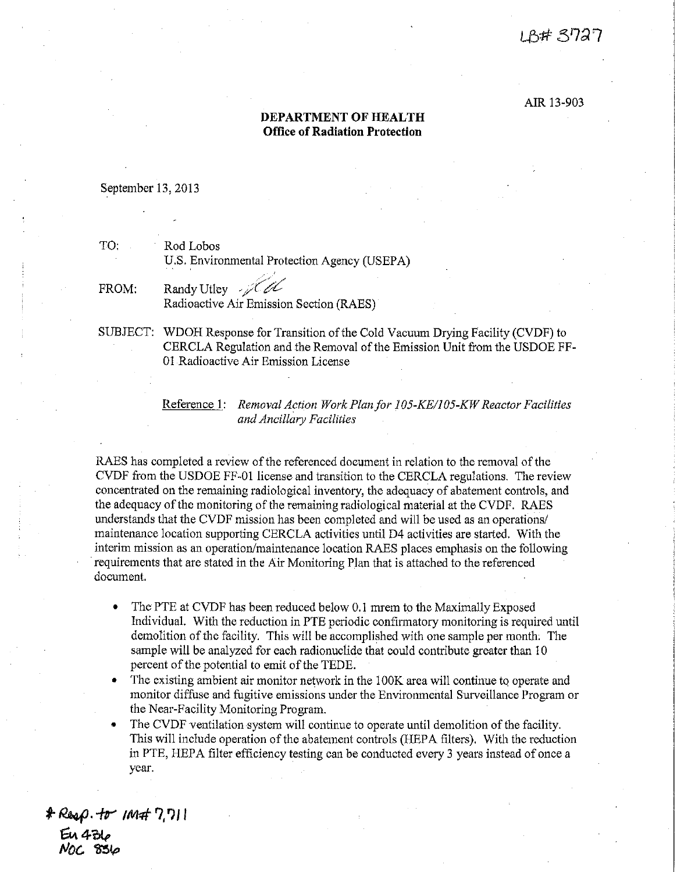## LB# 3727

## AIR 13-903

## **DEPARTMENT OF HEALTH Office of Radiation Protection**

## September 13, 2013

TO: Rod Lobos U.S. Environmental Protection Agency (USEPA)

FROM: Randy Utley ,  $\mathscr{A}$ Radioactive Air Emission Section (RAES)

SUBJECT: WDOH Response for Transition of the Cold Vacuum Drying Facility (CVDF) to CERCLA Regulation and the Removal of the Emission Unit from the USDOE FF-01 Radioactive Air Emission License

> Reference 1: *Removal Action Work Plan for 105-KE/105-KW Reactor Facilities and Ancillary Facilities*

RAES has completed a review of the referenced document in relation to the removal of the CVDF from the USDOE FF-01 license and transition to the CERCLA regulations. The review concentrated on the remaining radiological inventory, the adequacy of abatement controls, and the adequacy of the monitoring of the remaining radiological material at the CVDF. RAES understands that the CVDF mission has been completed and will be used as an operations/ maintenance location supporting CERCLA activities until D4 activities are started. With the interim mission as an operation/maintenance location RAES places emphasis on the following requirements that are stated in the Air Monitoring Plan that is attached to the referenced document.

- The PTE at CVDF has been reduced below 0.1 mrem to the Maximally Exposed Individual. With the reduction in PTE periodic confirmatory monitoring is required until demolition of the facility. This will be accomplished with one sample per month: The sample will be analyzed for each radionuclide that could contribute greater than 10 percent of the potential to emit of the TEDE.
- The existing ambient air monitor network in the 100K area will continue to operate and monitor diffuse and fugitive emissions under the Environmental Surveillance Program or the Near-Facility Monitoring Program.

The CVDF ventilation system will continue to operate until demolition of the facility. This will include operation of the abatement controls (HEPA filters). With the reduction in PTE, HEPA filter efficiency testing can be conducted every 3 years instead of once a year.

*t ~, --ftr' IM<Ff* **?,** *'')J* **<sup>I</sup>**  $64.4$ */v{)(.. ~(p*